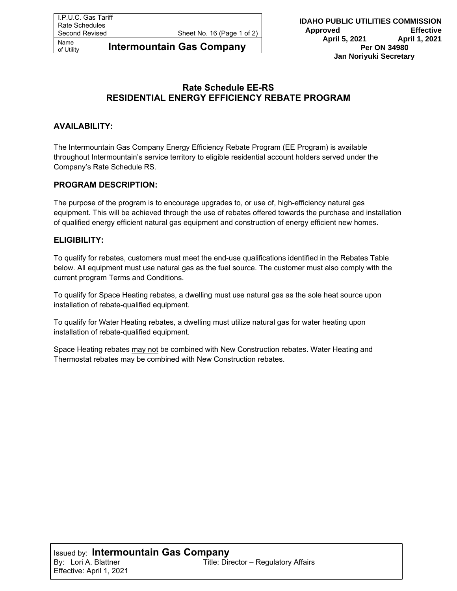Name<br>of Utility **Intermountain Gas Company** 

# **Rate Schedule EE-RS RESIDENTIAL ENERGY EFFICIENCY REBATE PROGRAM**

## **AVAILABILITY:**

The Intermountain Gas Company Energy Efficiency Rebate Program (EE Program) is available throughout Intermountain's service territory to eligible residential account holders served under the Company's Rate Schedule RS.

### **PROGRAM DESCRIPTION:**

The purpose of the program is to encourage upgrades to, or use of, high-efficiency natural gas equipment. This will be achieved through the use of rebates offered towards the purchase and installation of qualified energy efficient natural gas equipment and construction of energy efficient new homes.

### **ELIGIBILITY:**

To qualify for rebates, customers must meet the end-use qualifications identified in the Rebates Table below. All equipment must use natural gas as the fuel source. The customer must also comply with the current program Terms and Conditions.

To qualify for Space Heating rebates, a dwelling must use natural gas as the sole heat source upon installation of rebate-qualified equipment.

To qualify for Water Heating rebates, a dwelling must utilize natural gas for water heating upon installation of rebate-qualified equipment.

Space Heating rebates may not be combined with New Construction rebates. Water Heating and Thermostat rebates may be combined with New Construction rebates.